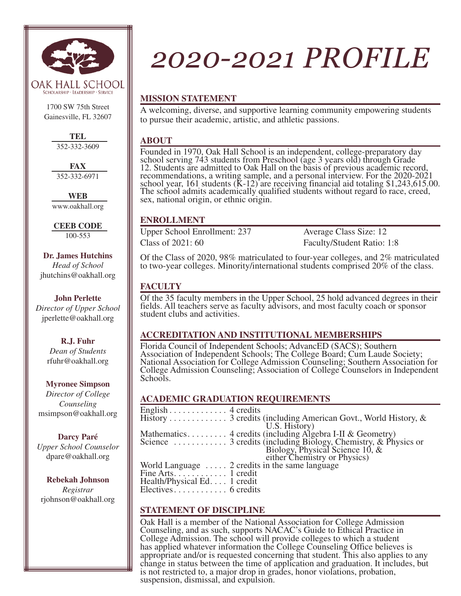

1700 SW 75th Street Gainesville, FL 32607

> **TEL** 352-332-3609

**FAX** 352-332-6971

**WEB** www.oakhall.org

**CEEB CODE** 100-553

**Dr. James Hutchins**  *Head of School* jhutchins@oakhall.org

**John Perlette**  *Director of Upper School* jperlette@oakhall.org

> **R.J. Fuhr** *Dean of Students* rfuhr@oakhall.org

**Myronee Simpson** *Director of College Counseling* msimpson@oakhall.org

**Darcy Paré**  *Upper School Counselor* dpare@oakhall.org

**Rebekah Johnson**  *Registrar*  rjohnson@oakhall.org

# *2020-2021 PROFILE*

## **MISSION STATEMENT**

A welcoming, diverse, and supportive learning community empowering students to pursue their academic, artistic, and athletic passions.

#### **ABOUT**

Founded in 1970, Oak Hall School is an independent, college-preparatory day school serving 743 students from Preschool (age 3 years old) through Grade 12. Students are admitted to Oak Hall on the basis of previous academic record, recommendations, a writing sample, and a personal interview. For the 2020-2021 school year, 161 students  $(K-12)$  are receiving financial aid totaling \$1,243,615.00. The school admits academically qualified students without regard to race, creed, sex, national origin, or ethnic origin.

## **ENROLLMENT**

Upper School Enrollment: 237 Average Class Size: 12 Class of 2021: 60 Faculty/Student Ratio: 1:8

Of the Class of 2020, 98% matriculated to four-year colleges, and 2% matriculated to two-year colleges. Minority/international students comprised 20% of the class.

## **FACULTY**

Of the 35 faculty members in the Upper School, 25 hold advanced degrees in their fields. All teachers serve as faculty advisors, and most faculty coach or sponsor student clubs and activities.

### **ACCREDITATION AND INSTITUTIONAL MEMBERSHIPS**

Florida Council of Independent Schools; AdvancED (SACS); Southern Association of Independent Schools; The College Board; Cum Laude Society; National Association for College Admission Counseling; Southern Association for College Admission Counseling; Association of College Counselors in Independent Schools.

## **ACADEMIC GRADUATION REQUIREMENTS**

| English $\dots \dots \dots \dots$ 4 credits   |                                                           |
|-----------------------------------------------|-----------------------------------------------------------|
|                                               |                                                           |
|                                               | U.S. History)                                             |
|                                               | Mathematics 4 credits (including Algebra I-II & Geometry) |
|                                               |                                                           |
|                                               |                                                           |
|                                               |                                                           |
|                                               | World Language $\dots$ 2 credits in the same language     |
| Fine Arts. $\dots$ $\dots$ $\dots$ . 1 credit |                                                           |
| Health/Physical Ed. 1 credit                  |                                                           |
| $Electives \ldots \ldots \ldots 6$ credits    |                                                           |
|                                               |                                                           |

## **STATEMENT OF DISCIPLINE**

Oak Hall is a member of the National Association for College Admission Counseling, and as such, supports NACAC's Guide to Ethical Practice in College Admission. The school will provide colleges to which a student has applied whatever information the College Counseling Office believes is appropriate and/or is requested concerning that student. This also applies to any change in status between the time of application and graduation. It includes, but is not restricted to, a major drop in grades, honor violations, probation, suspension, dismissal, and expulsion.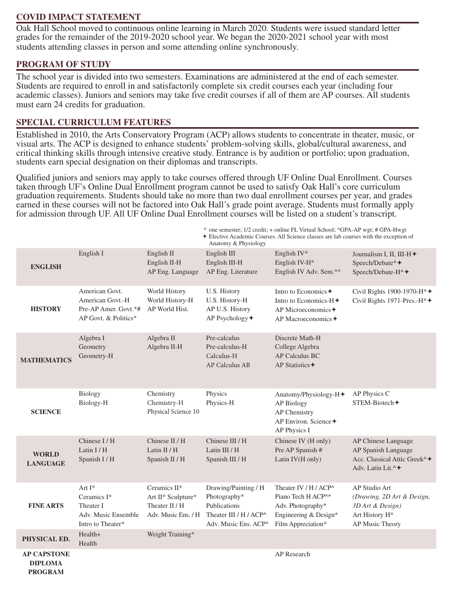#### **COVID IMPACT STATEMENT**

Oak Hall School moved to continuous online learning in March 2020. Students were issued standard letter grades for the remainder of the 2019-2020 school year. We began the 2020-2021 school year with most students attending classes in person and some attending online synchronously.

#### **PROGRAM OF STUDY**

The school year is divided into two semesters. Examinations are administered at the end of each semester. Students are required to enroll in and satisfactorily complete six credit courses each year (including four academic classes). Juniors and seniors may take five credit courses if all of them are AP courses. All students must earn 24 credits for graduation.

#### **SPECIAL CURRICULUM FEATURES**

Established in 2010, the Arts Conservatory Program (ACP) allows students to concentrate in theater, music, or visual arts. The ACP is designed to enhance students' problem-solving skills, global/cultural awareness, and critical thinking skills through intensive creative study. Entrance is by audition or portfolio; upon graduation, students earn special designation on their diplomas and transcripts.

Qualified juniors and seniors may apply to take courses offered through UF Online Dual Enrollment. Courses taken through UF's Online Dual Enrollment program cannot be used to satisfy Oak Hall's core curriculum graduation requirements. Students should take no more than two dual enrollment courses per year, and grades earned in these courses will not be factored into Oak Hall's grade point average. Students must formally apply for admission through UF. All UF Online Dual Enrollment courses will be listed on a student's transcript.

|                                                        |                                                                                    |                                                                             | * one semester; 1/2 credit; + online FL Virtual School; $\triangle$ GPA-AP wgt; # GPA-Hwgt<br><b>★ Elective Academic Courses. All Science classes are lab courses with the exception of</b><br>Anatomy & Physiology |                                                                                                                                                |                                                                                                                       |
|--------------------------------------------------------|------------------------------------------------------------------------------------|-----------------------------------------------------------------------------|---------------------------------------------------------------------------------------------------------------------------------------------------------------------------------------------------------------------|------------------------------------------------------------------------------------------------------------------------------------------------|-----------------------------------------------------------------------------------------------------------------------|
| <b>ENGLISH</b>                                         | English I                                                                          | English II<br>English II-H<br>AP Eng. Language                              | English III<br>English III-H<br>AP Eng. Literature                                                                                                                                                                  | English IV*<br>English IV-H*<br>English IV Adv. Sem.*^                                                                                         | Journalism I, II, III-H <sup>+</sup><br>Speech/Debate*+<br>Speech/Debate-H*+                                          |
| <b>HISTORY</b>                                         | American Govt.<br>American Govt.-H<br>Pre-AP Amer. Govt.*#<br>AP Govt. & Politics* | World History<br>World History-H<br>AP World Hist.                          | U.S. History<br>U.S. History-H<br>AP U.S. History<br>AP Psychology+                                                                                                                                                 | Intro to Economics +<br>Intro to Economics-H <sup>+</sup><br>AP Microeconomics $\triangle$<br>AP Macroeconomics $\triangle$                    | Civil Rights 1900-1970-H*+<br>Civil Rights 1971-Pres.-H*+                                                             |
| <b>MATHEMATICS</b>                                     | Algebra I<br>Geometry<br>Geometry-H                                                | Algebra II<br>Algebra II-H                                                  | Pre-calculus<br>Pre-calculus-H<br>Calculus-H<br><b>AP Calculus AB</b>                                                                                                                                               | Discrete Math-H<br>College Algebra<br><b>AP Calculus BC</b><br>AP Statistics $\triangle$                                                       |                                                                                                                       |
| <b>SCIENCE</b>                                         | Biology<br>Biology-H                                                               | Chemistry<br>Chemistry-H<br>Physical Science 10                             | Physics<br>Physics-H                                                                                                                                                                                                | Anatomy/Physiology-H <sup>+</sup><br><b>AP Biology</b><br>AP Chemistry<br>AP Environ. Science $\div$<br>AP Physics I                           | AP Physics C<br>$STEM-Biotech+$                                                                                       |
| <b>WORLD</b><br><b>LANGUAGE</b>                        | Chinese I/H<br>Latin $I/H$<br>Spanish I / H                                        | Chinese II / H<br>Latin $II/H$<br>Spanish II / H                            | Chinese III / H<br>Latin III / H<br>Spanish III / H                                                                                                                                                                 | Chinese IV (H only)<br>Pre AP Spanish #<br>Latin IV(H only)                                                                                    | AP Chinese Language<br>AP Spanish Language<br>Acc. Classical Attic Greek <sup>^</sup> +<br>Adv. Latin Lit. $\wedge$ + |
| <b>FINE ARTS</b>                                       | Art $I^*$<br>Ceramics I*<br>Theater I<br>Adv. Music Ensemble<br>Intro to Theater*  | Ceramics II*<br>Art II* Sculpture*<br>Theater II / H<br>Adv. Music Ens. / H | Drawing/Painting / H<br>Photography*<br>Publications<br>Theater III / $H$ / ACP <sup><math>\wedge</math></sup><br>Adv. Music Ens. ACP^                                                                              | Theater IV / $H$ / ACP <sup><math>\land</math></sup><br>Piano Tech H ACP^*<br>Adv. Photography*<br>Engineering & Design*<br>Film Appreciation* | <b>AP Studio Art</b><br>(Drawing, 2D Art & Design,<br>3D Art & Design)<br>Art History H*<br>AP Music Theory           |
| PHYSICAL ED.                                           | Health+<br>Health                                                                  | Weight Training*                                                            |                                                                                                                                                                                                                     |                                                                                                                                                |                                                                                                                       |
| <b>AP CAPSTONE</b><br><b>DIPLOMA</b><br><b>PROGRAM</b> |                                                                                    |                                                                             |                                                                                                                                                                                                                     | AP Research                                                                                                                                    |                                                                                                                       |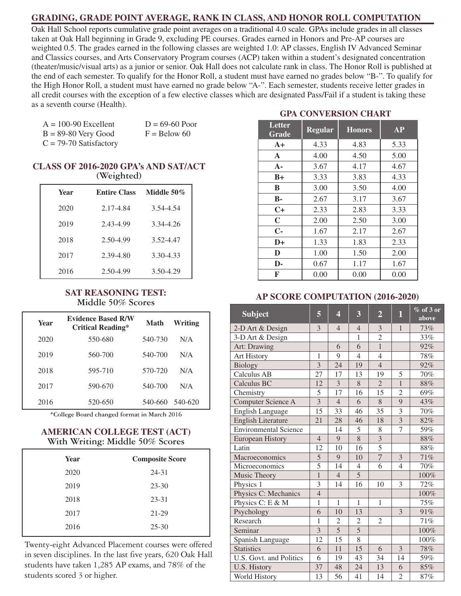#### **GRADING, GRADE POINT AVERAGE, RANK IN CLASS, AND HONOR ROLL COMPUTATION**

Oak Hall School reports cumulative grade point averages on a traditional 4.0 scale. GPAs include grades in all classes taken at Oak Hall beginning in Grade 9, excluding PE courses. Grades earned in Honors and Pre-AP courses are weighted 0.5. The grades earned in the following classes are weighted 1.0: AP classes, English IV Advanced Seminar and Classics courses, and Arts Conservatory Program courses (ACP) taken within a student's designated concentration (theater/music/visual arts) as a junior or senior. Oak Hall does not calculate rank in class. The Honor Roll is published at the end of each semester. To qualify for the Honor Roll, a student must have earned no grades below "B-". To qualify for the High Honor Roll, a student must have earned no grade below "A-". Each semester, students receive letter grades in all credit courses with the exception of a few elective classes which are designated Pass/Fail if a student is taking these as a seventh course (Health).

 $A = 100-90$  Excellent  $D = 69-60$  Poor  $B = 89-80$  Very Good  $F =$  Below 60

 $C = 79-70$  Satisfactory

#### **CLASS OF 2016-2020 GPA's AND SAT/ACT (Weighted)**

| <b>Year</b> | <b>Entire Class</b> | Middle $50\%$ |
|-------------|---------------------|---------------|
| 2020        | 2.17-4.84           | 3.54-4.54     |
| 2019        | 2.43-4.99           | 3.34-4.26     |
| 2018        | 2.50-4.99           | 3.52-4.47     |
| 2017        | 2.39-4.80           | 3.30-4.33     |
| 2016        | 2.50-4.99           | 3.50-4.29     |

#### **SAT REASONING TEST: Middle 50% Scores**

| Year | <b>Evidence Based R/W</b><br><b>Critical Reading*</b> | <b>Math</b> | Writing         |
|------|-------------------------------------------------------|-------------|-----------------|
| 2020 | 550-680                                               | 540-730     | N/A             |
| 2019 | 560-700                                               | 540-700     | N/A             |
| 2018 | 595-710                                               | 570-720     | N/A             |
| 2017 | 590-670                                               | 540-700     | N/A             |
| 2016 | 520-650                                               |             | 540-660 540-620 |

**\*College Board changed format in March 2016**

#### **AMERICAN COLLEGE TEST (ACT) With Writing: Middle 50% Scores**

| Year | <b>Composite Score</b> |
|------|------------------------|
| 2020 | $24 - 31$              |
| 2019 | $23 - 30$              |
| 2018 | $23 - 31$              |
| 2017 | 21-29                  |
| 2016 | $25 - 30$              |

Twenty-eight Advanced Placement courses were offered in seven disciplines. In the last five years, 620 Oak Hall students have taken 1,285 AP exams, and 78% of the students scored 3 or higher.

## **GPA CONVERSION CHART**

| Letter<br>Grade | <b>Regular</b> | <b>Honors</b> | AP   |
|-----------------|----------------|---------------|------|
| $A+$            | 4.33           | 4.83          | 5.33 |
| $\mathbf{A}$    | 4.00           | 4.50          | 5.00 |
| $A -$           | 3.67           | 4.17          | 4.67 |
| $B+$            | 3.33           | 3.83          | 4.33 |
| B               | 3.00           | 3.50          | 4.00 |
| <b>B-</b>       | 2.67           | 3.17          | 3.67 |
| $C+$            | 2.33           | 2.83          | 3.33 |
| $\mathbf C$     | 2.00           | 2.50          | 3.00 |
| $C -$           | 1.67           | 2.17          | 2.67 |
| $D+$            | 1.33           | 1.83          | 2.33 |
| D               | 1.00           | 1.50          | 2.00 |
| D-              | 0.67           | 1.17          | 1.67 |
| F               | 0.00           | 0.00          | 0.00 |

#### **AP SCORE COMPUTATION (2016-2020)**

| <b>Subject</b>               | $\overline{5}$ | $\overline{\mathbf{4}}$ | 3              | $\overline{2}$          | $\mathbf{1}$   | $%$ of 3 or<br>above |
|------------------------------|----------------|-------------------------|----------------|-------------------------|----------------|----------------------|
| 2-D Art & Design             | 3              | $\overline{4}$          | $\overline{4}$ | 3                       | $\mathbf{1}$   | 73%                  |
| 3-D Art & Design             |                |                         | $\mathbf{1}$   | $\overline{2}$          |                | 33%                  |
| Art: Drawing                 |                | 6                       | 6              | $\overline{1}$          |                | 92%                  |
| <b>Art History</b>           | $\mathbf{1}$   | 9                       | $\overline{4}$ | $\overline{4}$          |                | 78%                  |
| <b>Biology</b>               | $\overline{3}$ | 24                      | 19             | $\overline{4}$          |                | 92%                  |
| Calculus AB                  | 27             | 17                      | 13             | 19                      | 5              | 70%                  |
| Calculus BC                  | 12             | 3                       | 8              | $\overline{2}$          | $\mathbf{1}$   | 88%                  |
| Chemistry                    | 5              | 17                      | 16             | 15                      | $\overline{2}$ | 69%                  |
| Computer Science A           | $\overline{3}$ | $\overline{4}$          | 6              | 8                       | 9              | 43%                  |
| <b>English Language</b>      | 15             | 33                      | 46             | 35                      | 3              | 70%                  |
| <b>English Literature</b>    | 21             | 28                      | 46             | 18                      | $\overline{3}$ | 82%                  |
| <b>Environmental Science</b> |                | 14                      | 5              | 8                       | 7              | 59%                  |
| <b>European History</b>      | $\overline{4}$ | 9                       | $\overline{8}$ | $\overline{\mathbf{3}}$ |                | 88%                  |
| Latin                        | 12             | 10                      | 16             | 5                       |                | 88%                  |
| Macroeconomics               | $\overline{5}$ | 9                       | 10             | 7                       | 3              | 71%                  |
| Microeconomics               | 5              | 14                      | $\overline{4}$ | 6                       | $\overline{4}$ | 70%                  |
| Music Theory                 | $\mathbf{1}$   | $\overline{4}$          | $\overline{5}$ |                         |                | 100%                 |
| Physics 1                    | $\overline{3}$ | 14                      | 16             | 10                      | 3              | 72%                  |
| Physics C: Mechanics         | $\overline{4}$ |                         |                |                         |                | 100%                 |
| Physics C: E & M             | $\mathbf{1}$   | 1                       | 1              | $\mathbf{1}$            |                | 75%                  |
| Psychology                   | 6              | 10                      | 13             |                         | 3              | 91%                  |
| Research                     | $\mathbf{1}$   | 2                       | $\mathfrak{2}$ | $\overline{2}$          |                | 71%                  |
| Seminar                      | $\overline{3}$ | $\overline{5}$          | $\overline{5}$ |                         |                | 100%                 |
| Spanish Language             | 12             | 15                      | 8              |                         |                | 100%                 |
| <b>Statistics</b>            | 6              | 11                      | 15             | 6                       | 3              | 78%                  |
| U.S. Govt. and Politics      | 6              | 19                      | 43             | 34                      | 14             | 59%                  |
| U.S. History                 | 37             | 48                      | 24             | 13                      | 6              | 85%                  |
| World History                | 13             | 56                      | 41             | 14                      | $\overline{2}$ | 87%                  |